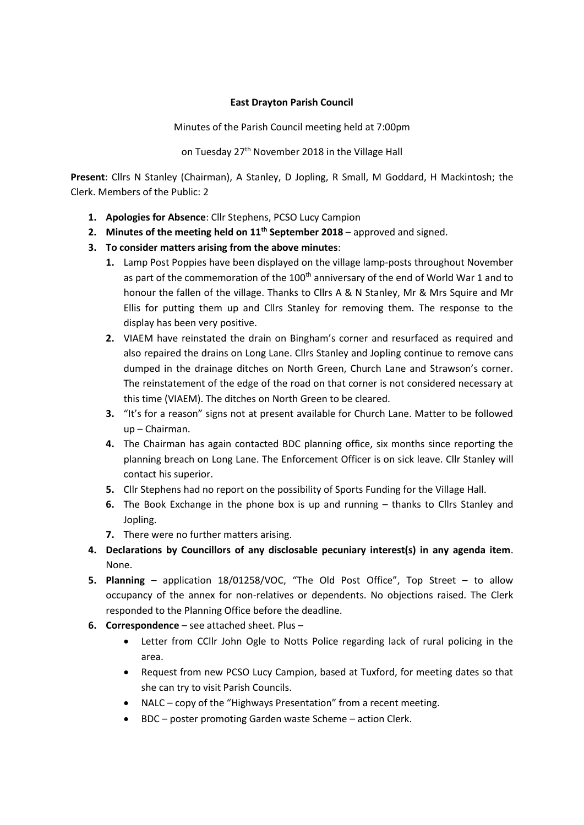## **East Drayton Parish Council**

Minutes of the Parish Council meeting held at 7:00pm

on Tuesday 27<sup>th</sup> November 2018 in the Village Hall

**Present**: Cllrs N Stanley (Chairman), A Stanley, D Jopling, R Small, M Goddard, H Mackintosh; the Clerk. Members of the Public: 2

- **1. Apologies for Absence**: Cllr Stephens, PCSO Lucy Campion
- 2. Minutes of the meeting held on 11<sup>th</sup> September 2018 approved and signed.
- **3. To consider matters arising from the above minutes**:
	- **1.** Lamp Post Poppies have been displayed on the village lamp-posts throughout November as part of the commemoration of the 100<sup>th</sup> anniversary of the end of World War 1 and to honour the fallen of the village. Thanks to Cllrs A & N Stanley, Mr & Mrs Squire and Mr Ellis for putting them up and Cllrs Stanley for removing them. The response to the display has been very positive.
	- **2.** VIAEM have reinstated the drain on Bingham's corner and resurfaced as required and also repaired the drains on Long Lane. Cllrs Stanley and Jopling continue to remove cans dumped in the drainage ditches on North Green, Church Lane and Strawson's corner. The reinstatement of the edge of the road on that corner is not considered necessary at this time (VIAEM). The ditches on North Green to be cleared.
	- **3.** "It's for a reason" signs not at present available for Church Lane. Matter to be followed up – Chairman.
	- **4.** The Chairman has again contacted BDC planning office, six months since reporting the planning breach on Long Lane. The Enforcement Officer is on sick leave. Cllr Stanley will contact his superior.
	- **5.** Cllr Stephens had no report on the possibility of Sports Funding for the Village Hall.
	- **6.** The Book Exchange in the phone box is up and running thanks to Cllrs Stanley and Jopling.
	- **7.** There were no further matters arising.
- **4. Declarations by Councillors of any disclosable pecuniary interest(s) in any agenda item**. None.
- **5. Planning** application 18/01258/VOC, "The Old Post Office", Top Street to allow occupancy of the annex for non-relatives or dependents. No objections raised. The Clerk responded to the Planning Office before the deadline.
- **6. Correspondence** see attached sheet. Plus
	- Letter from CCllr John Ogle to Notts Police regarding lack of rural policing in the area.
	- Request from new PCSO Lucy Campion, based at Tuxford, for meeting dates so that she can try to visit Parish Councils.
	- NALC copy of the "Highways Presentation" from a recent meeting.
	- BDC poster promoting Garden waste Scheme action Clerk.